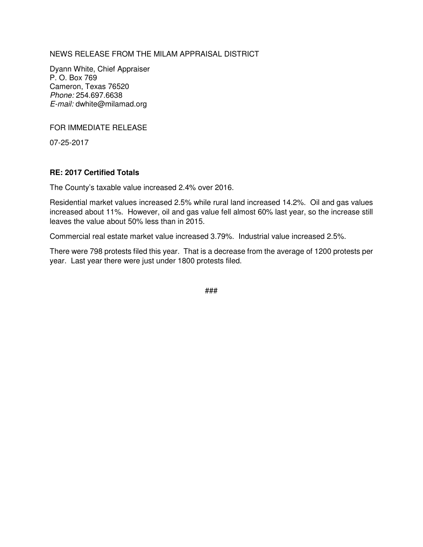NEWS RELEASE FROM THE MILAM APPRAISAL DISTRICT

Dyann White, Chief Appraiser P. O. Box 769 Cameron, Texas 76520 Phone: 254.697.6638 E-mail: dwhite@milamad.org

FOR IMMEDIATE RELEASE

07-25-2017

## **RE: 2017 Certified Totals**

The County's taxable value increased 2.4% over 2016.

Residential market values increased 2.5% while rural land increased 14.2%. Oil and gas values increased about 11%. However, oil and gas value fell almost 60% last year, so the increase still leaves the value about 50% less than in 2015.

Commercial real estate market value increased 3.79%. Industrial value increased 2.5%.

There were 798 protests filed this year. That is a decrease from the average of 1200 protests per year. Last year there were just under 1800 protests filed.

###